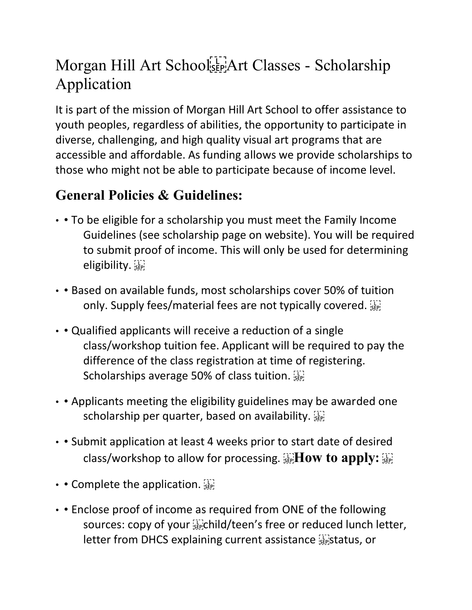## Morgan Hill Art School<sup>[11]</sup> Art Classes - Scholarship Application

It is part of the mission of Morgan Hill Art School to offer assistance to youth peoples, regardless of abilities, the opportunity to participate in diverse, challenging, and high quality visual art programs that are accessible and affordable. As funding allows we provide scholarships to those who might not be able to participate because of income level.

## **General Policies & Guidelines:**

- • To be eligible for a scholarship you must meet the Family Income Guidelines (see scholarship page on website). You will be required to submit proof of income. This will only be used for determining eligibility.
- • Based on available funds, most scholarships cover 50% of tuition only. Supply fees/material fees are not typically covered.
- • Qualified applicants will receive a reduction of a single class/workshop tuition fee. Applicant will be required to pay the difference of the class registration at time of registering. Scholarships average 50% of class tuition.
- • Applicants meeting the eligibility guidelines may be awarded one scholarship per quarter, based on availability.
- • Submit application at least 4 weeks prior to start date of desired class/workshop to allow for processing. **How to apply**:  $\prod_{\text{SEP}}$
- $\cdot$  Complete the application.  $\mathbb{E}$
- • Enclose proof of income as required from ONE of the following sources: copy of your  $\overline{SP}$ child/teen's free or reduced lunch letter, letter from DHCS explaining current assistance **status**, or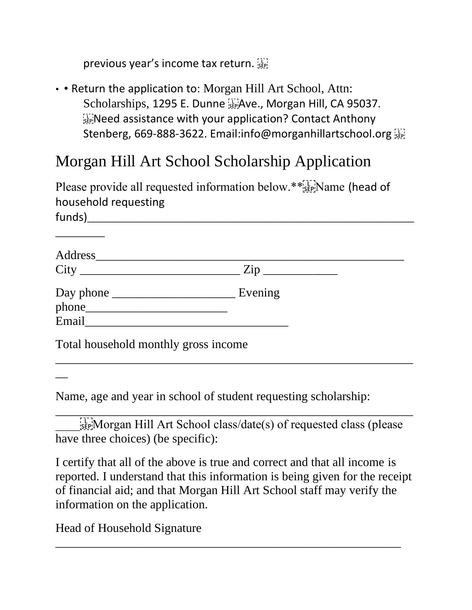previous year's income tax return.

• • Return the application to: Morgan Hill Art School, Attn: Scholarships, 1295 E. Dunne Filave., Morgan Hill, CA 95037. **EXPINEED assistance with your application? Contact Anthony** Stenberg, 669-888-3622. Email:info@morganhillartschool.org

## Morgan Hill Art School Scholarship Application

Please provide all requested information below.\*\*[1] Name (head of household requesting

| funds) |  |
|--------|--|
|        |  |

\_\_\_\_\_\_\_\_

 $\overline{\phantom{a}}$ 

| Address_______                       | Zip     |  |
|--------------------------------------|---------|--|
| Email                                | Evening |  |
| Total household monthly gross income |         |  |

\_\_\_\_\_\_\_\_\_\_\_\_\_\_\_\_\_\_\_\_\_\_\_\_\_\_\_\_\_\_\_\_\_\_\_\_\_\_\_\_\_\_\_\_\_\_\_\_\_\_\_\_\_\_\_\_\_\_

Name, age and year in school of student requesting scholarship:

 $\lim_{s \to s}$  Morgan Hill Art School class/date(s) of requested class (please have three choices) (be specific):

\_\_\_\_\_\_\_\_\_\_\_\_\_\_\_\_\_\_\_\_\_\_\_\_\_\_\_\_\_\_\_\_\_\_\_\_\_\_\_\_\_\_\_\_\_\_\_\_\_\_\_\_\_\_\_\_\_\_

I certify that all of the above is true and correct and that all income is reported. I understand that this information is being given for the receipt of financial aid; and that Morgan Hill Art School staff may verify the information on the application.

\_\_\_\_\_\_\_\_\_\_\_\_\_\_\_\_\_\_\_\_\_\_\_\_\_\_\_\_\_\_\_\_\_\_\_\_\_\_\_\_\_\_\_\_\_\_\_\_\_\_\_\_\_\_\_\_

Head of Household Signature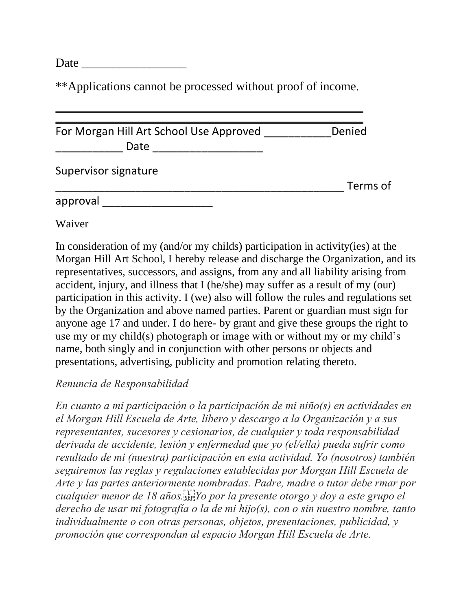Date

\*\*Applications cannot be processed without proof of income.

| For Morgan Hill Art School Use Approved<br>Date | Denied   |
|-------------------------------------------------|----------|
| Supervisor signature                            | Terms of |
| approval                                        |          |

Waiver

In consideration of my (and/or my childs) participation in activity(ies) at the Morgan Hill Art School, I hereby release and discharge the Organization, and its representatives, successors, and assigns, from any and all liability arising from accident, injury, and illness that I (he/she) may suffer as a result of my (our) participation in this activity. I (we) also will follow the rules and regulations set by the Organization and above named parties. Parent or guardian must sign for anyone age 17 and under. I do here- by grant and give these groups the right to use my or my child(s) photograph or image with or without my or my child's name, both singly and in conjunction with other persons or objects and presentations, advertising, publicity and promotion relating thereto.

## *Renuncia de Responsabilidad*

*En cuanto a mi participación o la participación de mi niño(s) en actividades en el Morgan Hill Escuela de Arte, libero y descargo a la Organización y a sus representantes, sucesores y cesionarios, de cualquier y toda responsabilidad derivada de accidente, lesión y enfermedad que yo (el/ella) pueda sufrir como resultado de mi (nuestra) participación en esta actividad. Yo (nosotros) también seguiremos las reglas y regulaciones establecidas por Morgan Hill Escuela de Arte y las partes anteriormente nombradas. Padre, madre o tutor debe rmar por cualquier menor de 18 años.
Yo por la presente otorgo y doy a este grupo el derecho de usar mi fotografía o la de mi hijo(s), con o sin nuestro nombre, tanto individualmente o con otras personas, objetos, presentaciones, publicidad, y promoción que correspondan al espacio Morgan Hill Escuela de Arte.*